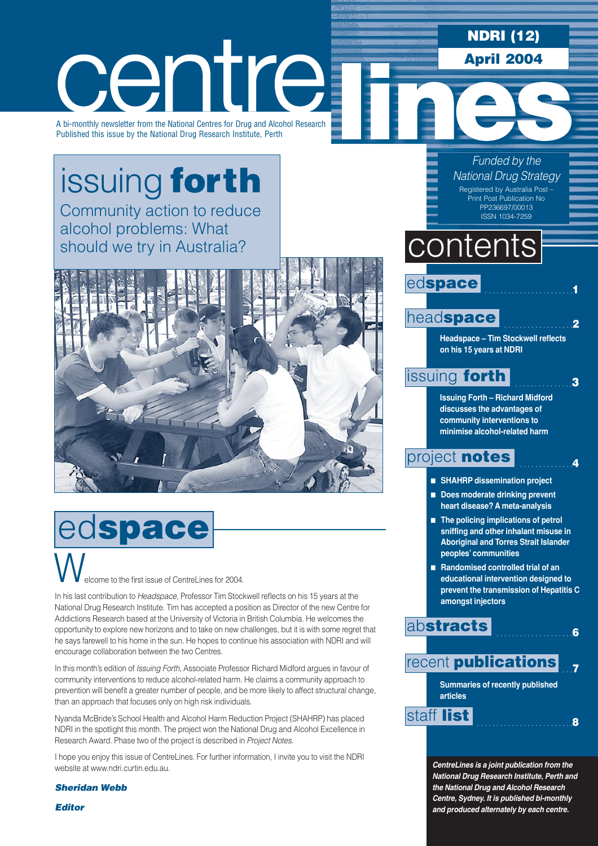## **NDRI (12) April 2004**

centre

A bi-monthly newsletter from the National Centres for Drug and Alcohol Research Published this issue by the National Drug Research Institute, Perth

# [issuing](#page-2-0) **forth**

Community action to reduce alcohol problems: What should we try in Australia?



# elcome to the first issue of CentreLines for 2004. ed**space** W.

In his last contribution to *Headspace*, Professor Tim Stockwell reflects on his 15 years at the National Drug Research Institute. Tim has accepted a position as Director of the new Centre for Addictions Research based at the University of Victoria in British Columbia. He welcomes the opportunity to explore new horizons and to take on new challenges, but it is with some regret that he says farewell to his home in the sun. He hopes to continue his association with NDRI and will encourage collaboration between the two Centres.

In this month's edition of *Issuing Forth*, Associate Professor Richard Midford argues in favour of community interventions to reduce alcohol-related harm. He claims a community approach to prevention will benefit a greater number of people, and be more likely to affect structural change, than an approach that focuses only on high risk individuals.

Nyanda McBride's School Health and Alcohol Harm Reduction Project (SHAHRP) has placed NDRI in the spotlight this month. The project won the National Drug and Alcohol Excellence in Research Award. Phase two of the project is described in *Project Notes*.

I hope you enjoy this issue of CentreLines. For further information, I invite you to visit the NDRI website at www.ndri.curtin.edu.au.

*Sheridan Webb*

*Editor* 

*Funded by the National Drug Strategy* Registered by Australia Post –

Print Post Publication No PP236697/00013 ISSN 1034-7259

# contents

## ed**space**

## head**[space](#page-1-0)**

**Headspace – Tim Stockwell reflects on his 15 years at NDRI** 

. . . . . . . . . . . . . . . . . . . . . . .**1**

. . . . . . . . . . . . . . . . . .**2**

. . . . . . . . . . . . . . .**3**

. . . . . . . . . . . . . .**4**

## [issuing](#page-2-0) **forth**

**Issuing Forth – Richard Midford discusses the advantages of community interventions to minimise alcohol-related harm**

## [project](#page-3-0) **notes**

- **SHAHRP** dissemination project
- **Does moderate drinking prevent heart disease? A meta-analysis**
- **The policing implications of petrol sniffing and other inhalant misuse in Aboriginal and Torres Strait Islander peoples' communities**
- **Randomised controlled trial of an educational intervention designed to prevent the transmission of Hepatitis C amongst injectors**

. . . . . . . . . . . . . . . . . . . .**6**

## ab**[stracts](#page-5-0)**



*CentreLines is a joint publication from the National Drug Research Institute, Perth and the National Drug and Alcohol Research Centre, Sydney. It is published bi-monthly and produced alternately by each centre.*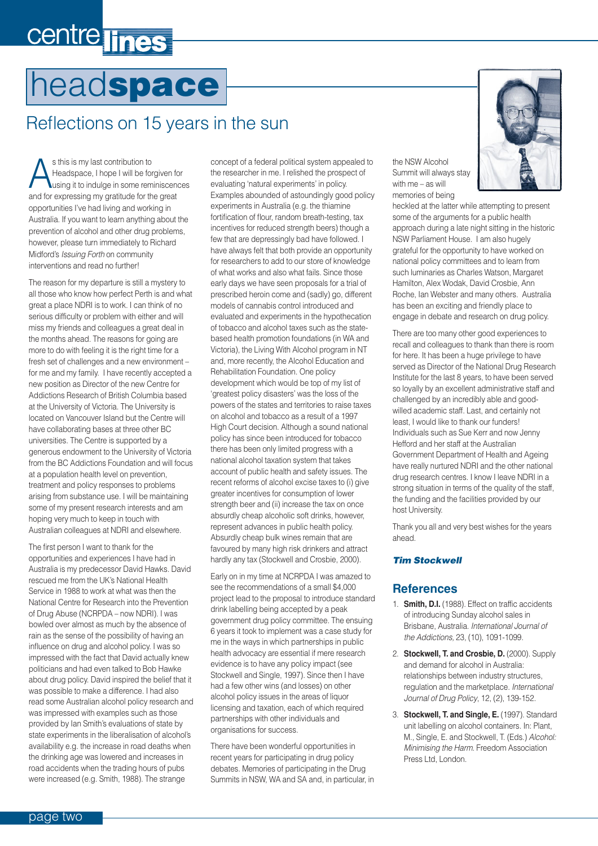# <span id="page-1-0"></span>centre lines

# head**space**

# Reflections on 15 years in the sun

s this is my last contribution to<br>Headspace, I hope I will be for<br>using it to indulge in some rem Headspace, I hope I will be forgiven for using it to indulge in some reminiscences and for expressing my gratitude for the great opportunities I've had living and working in Australia. If you want to learn anything about the prevention of alcohol and other drug problems, however, please turn immediately to Richard Midford's *Issuing Forth* on community interventions and read no further!

The reason for my departure is still a mystery to all those who know how perfect Perth is and what great a place NDRI is to work. I can think of no serious difficulty or problem with either and will miss my friends and colleagues a great deal in the months ahead. The reasons for going are more to do with feeling it is the right time for a fresh set of challenges and a new environment – for me and my family. I have recently accepted a new position as Director of the new Centre for Addictions Research of British Columbia based at the University of Victoria. The University is located on Vancouver Island but the Centre will have collaborating bases at three other BC universities. The Centre is supported by a generous endowment to the University of Victoria from the BC Addictions Foundation and will focus at a population health level on prevention, treatment and policy responses to problems arising from substance use. I will be maintaining some of my present research interests and am hoping very much to keep in touch with Australian colleagues at NDRI and elsewhere.

The first person I want to thank for the opportunities and experiences I have had in Australia is my predecessor David Hawks. David rescued me from the UK's National Health Service in 1988 to work at what was then the National Centre for Research into the Prevention of Drug Abuse (NCRPDA – now NDRI). I was bowled over almost as much by the absence of rain as the sense of the possibility of having an influence on drug and alcohol policy. I was so impressed with the fact that David actually knew politicians and had even talked to Bob Hawke about drug policy. David inspired the belief that it was possible to make a difference. I had also read some Australian alcohol policy research and was impressed with examples such as those provided by Ian Smith's evaluations of state by state experiments in the liberalisation of alcohol's availability e.g. the increase in road deaths when the drinking age was lowered and increases in road accidents when the trading hours of pubs were increased (e.g. Smith, 1988). The strange

concept of a federal political system appealed to the researcher in me. I relished the prospect of evaluating 'natural experiments' in policy. Examples abounded of astoundingly good policy experiments in Australia (e.g. the thiamine fortification of flour, random breath-testing, tax incentives for reduced strength beers) though a few that are depressingly bad have followed. I have always felt that both provide an opportunity for researchers to add to our store of knowledge of what works and also what fails. Since those early days we have seen proposals for a trial of prescribed heroin come and (sadly) go, different models of cannabis control introduced and evaluated and experiments in the hypothecation of tobacco and alcohol taxes such as the statebased health promotion foundations (in WA and Victoria), the Living With Alcohol program in NT and, more recently, the Alcohol Education and Rehabilitation Foundation. One policy development which would be top of my list of 'greatest policy disasters' was the loss of the powers of the states and territories to raise taxes on alcohol and tobacco as a result of a 1997 High Court decision. Although a sound national policy has since been introduced for tobacco there has been only limited progress with a national alcohol taxation system that takes account of public health and safety issues. The recent reforms of alcohol excise taxes to (i) give greater incentives for consumption of lower strength beer and (ii) increase the tax on once absurdly cheap alcoholic soft drinks, however, represent advances in public health policy. Absurdly cheap bulk wines remain that are favoured by many high risk drinkers and attract hardly any tax (Stockwell and Crosbie, 2000).

Early on in my time at NCRPDA I was amazed to see the recommendations of a small \$4,000 project lead to the proposal to introduce standard drink labelling being accepted by a peak government drug policy committee. The ensuing 6 years it took to implement was a case study for me in the ways in which partnerships in public health advocacy are essential if mere research evidence is to have any policy impact (see Stockwell and Single, 1997). Since then I have had a few other wins (and losses) on other alcohol policy issues in the areas of liquor licensing and taxation, each of which required partnerships with other individuals and organisations for success.

There have been wonderful opportunities in recent years for participating in drug policy debates. Memories of participating in the Drug Summits in NSW, WA and SA and, in particular, in the NSW Alcohol Summit will always stay with me – as will memories of being

heckled at the latter while attempting to present some of the arguments for a public health approach during a late night sitting in the historic NSW Parliament House. I am also hugely grateful for the opportunity to have worked on national policy committees and to learn from such luminaries as Charles Watson, Margaret Hamilton, Alex Wodak, David Crosbie, Ann Roche, Ian Webster and many others. Australia has been an exciting and friendly place to engage in debate and research on drug policy.

There are too many other good experiences to recall and colleagues to thank than there is room for here. It has been a huge privilege to have served as Director of the National Drug Research Institute for the last 8 years, to have been served so loyally by an excellent administrative staff and challenged by an incredibly able and goodwilled academic staff. Last, and certainly not least, I would like to thank our funders! Individuals such as Sue Kerr and now Jenny Hefford and her staff at the Australian Government Department of Health and Ageing have really nurtured NDRI and the other national drug research centres. I know I leave NDRI in a strong situation in terms of the quality of the staff, the funding and the facilities provided by our host University.

Thank you all and very best wishes for the years ahead.

#### *Tim Stockwell*

### **References**

- 1. **Smith, D.I.** (1988). Effect on traffic accidents of introducing Sunday alcohol sales in Brisbane, Australia. *International Journal of the Addictions,* 23, (10), 1091-1099.
- 2. **Stockwell, T. and Crosbie, D.** (2000). Supply and demand for alcohol in Australia: relationships between industry structures, regulation and the marketplace. *International Journal of Drug Policy*, 12, (2), 139-152.
- 3. **Stockwell, T. and Single, E.** (1997). Standard unit labelling on alcohol containers. In: Plant, M., Single, E. and Stockwell, T. (Eds.) *Alcohol: Minimising the Harm.* Freedom Association Press Ltd, London.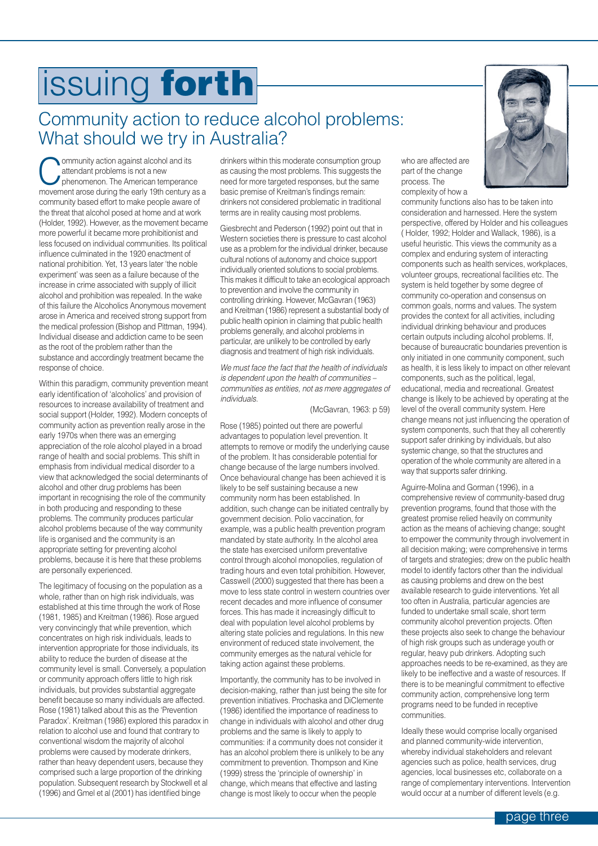## <span id="page-2-0"></span>Community action to reduce alcohol problems: What should we try in Australia?

**Community action against alcohol and its**<br>
attendant problems is not a new<br>
phenomenon. The American temperance<br>
movement areas during the exity 10th early 10th attendant problems is not a new movement arose during the early 19th century as a community based effort to make people aware of the threat that alcohol posed at home and at work (Holder, 1992). However, as the movement became more powerful it became more prohibitionist and less focused on individual communities. Its political influence culminated in the 1920 enactment of national prohibition. Yet, 13 years later 'the noble experiment' was seen as a failure because of the increase in crime associated with supply of illicit alcohol and prohibition was repealed. In the wake of this failure the Alcoholics Anonymous movement arose in America and received strong support from the medical profession (Bishop and Pittman, 1994). Individual disease and addiction came to be seen as the root of the problem rather than the substance and accordingly treatment became the response of choice.

Within this paradigm, community prevention meant early identification of 'alcoholics' and provision of resources to increase availability of treatment and social support (Holder, 1992). Modern concepts of community action as prevention really arose in the early 1970s when there was an emerging appreciation of the role alcohol played in a broad range of health and social problems. This shift in emphasis from individual medical disorder to a view that acknowledged the social determinants of alcohol and other drug problems has been important in recognising the role of the community in both producing and responding to these problems. The community produces particular alcohol problems because of the way community life is organised and the community is an appropriate setting for preventing alcohol problems, because it is here that these problems are personally experienced.

The legitimacy of focusing on the population as a whole, rather than on high risk individuals, was established at this time through the work of Rose (1981, 1985) and Kreitman (1986). Rose argued very convincingly that while prevention, which concentrates on high risk individuals, leads to intervention appropriate for those individuals, its ability to reduce the burden of disease at the community level is small. Conversely, a population or community approach offers little to high risk individuals, but provides substantial aggregate benefit because so many individuals are affected. Rose (1981) talked about this as the 'Prevention Paradox'. Kreitman (1986) explored this paradox in relation to alcohol use and found that contrary to conventional wisdom the majority of alcohol problems were caused by moderate drinkers, rather than heavy dependent users, because they comprised such a large proportion of the drinking population. Subsequent research by Stockwell et al (1996) and Gmel et al (2001) has identified binge

drinkers within this moderate consumption group as causing the most problems. This suggests the need for more targeted responses, but the same basic premise of Kreitman's findings remain: drinkers not considered problematic in traditional terms are in reality causing most problems.

Giesbrecht and Pederson (1992) point out that in Western societies there is pressure to cast alcohol use as a problem for the individual drinker, because cultural notions of autonomy and choice support individually oriented solutions to social problems. This makes it difficult to take an ecological approach to prevention and involve the community in controlling drinking. However, McGavran (1963) and Kreitman (1986) represent a substantial body of public health opinion in claiming that public health problems generally, and alcohol problems in particular, are unlikely to be controlled by early diagnosis and treatment of high risk individuals.

*We must face the fact that the health of individuals is dependent upon the health of communities – communities as entities, not as mere aggregates of individuals.*

(McGavran, 1963: p 59)

Rose (1985) pointed out there are powerful advantages to population level prevention. It attempts to remove or modify the underlying cause of the problem. It has considerable potential for change because of the large numbers involved. Once behavioural change has been achieved it is likely to be self sustaining because a new community norm has been established. In addition, such change can be initiated centrally by government decision. Polio vaccination, for example, was a public health prevention program mandated by state authority. In the alcohol area the state has exercised uniform preventative control through alcohol monopolies, regulation of trading hours and even total prohibition. However, Casswell (2000) suggested that there has been a move to less state control in western countries over recent decades and more influence of consumer forces. This has made it increasingly difficult to deal with population level alcohol problems by altering state policies and regulations. In this new environment of reduced state involvement, the community emerges as the natural vehicle for taking action against these problems.

Importantly, the community has to be involved in decision-making, rather than just being the site for prevention initiatives. Prochaska and DiClemente (1986) identified the importance of readiness to change in individuals with alcohol and other drug problems and the same is likely to apply to communities: if a community does not consider it has an alcohol problem there is unlikely to be any commitment to prevention. Thompson and Kine (1999) stress the 'principle of ownership' in change, which means that effective and lasting change is most likely to occur when the people

who are affected are part of the change process. The complexity of how a

community functions also has to be taken into consideration and harnessed. Here the system perspective, offered by Holder and his colleagues ( Holder, 1992; Holder and Wallack, 1986), is a useful heuristic. This views the community as a complex and enduring system of interacting components such as health services, workplaces, volunteer groups, recreational facilities etc. The system is held together by some degree of community co-operation and consensus on common goals, norms and values. The system provides the context for all activities, including individual drinking behaviour and produces certain outputs including alcohol problems. If, because of bureaucratic boundaries prevention is only initiated in one community component, such as health, it is less likely to impact on other relevant components, such as the political, legal, educational, media and recreational. Greatest change is likely to be achieved by operating at the level of the overall community system. Here change means not just influencing the operation of system components, such that they all coherently support safer drinking by individuals, but also systemic change, so that the structures and operation of the whole community are altered in a way that supports safer drinking.

Aguirre-Molina and Gorman (1996), in a comprehensive review of community-based drug prevention programs, found that those with the greatest promise relied heavily on community action as the means of achieving change; sought to empower the community through involvement in all decision making; were comprehensive in terms of targets and strategies; drew on the public health model to identify factors other than the individual as causing problems and drew on the best available research to guide interventions. Yet all too often in Australia, particular agencies are funded to undertake small scale, short term community alcohol prevention projects. Often these projects also seek to change the behaviour of high risk groups such as underage youth or regular, heavy pub drinkers. Adopting such approaches needs to be re-examined, as they are likely to be ineffective and a waste of resources. If there is to be meaningful commitment to effective community action, comprehensive long term programs need to be funded in receptive communities.

Ideally these would comprise locally organised and planned community-wide intervention, whereby individual stakeholders and relevant agencies such as police, health services, drug agencies, local businesses etc, collaborate on a range of complementary interventions. Intervention would occur at a number of different levels (e.g.

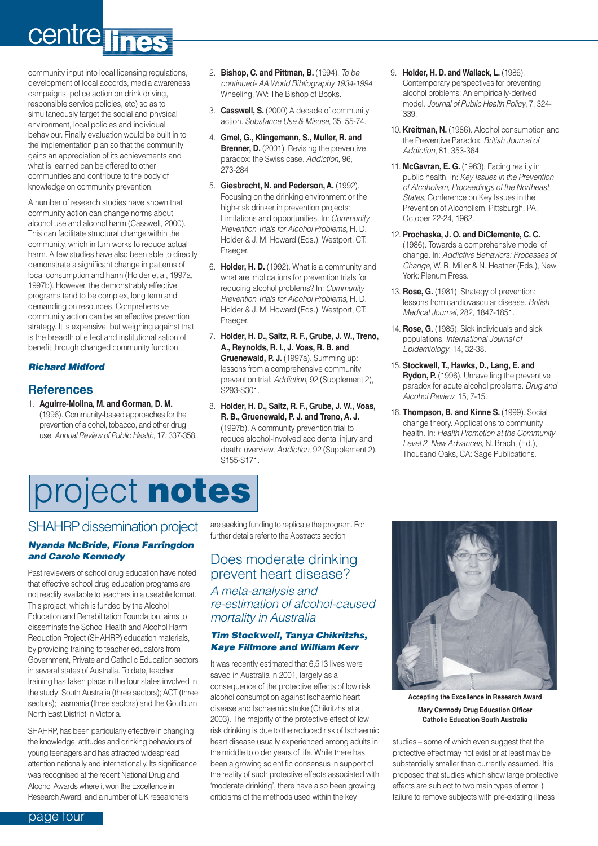# <span id="page-3-0"></span>centre lines

community input into local licensing regulations, development of local accords, media awareness campaigns, police action on drink driving, responsible service policies, etc) so as to simultaneously target the social and physical environment, local policies and individual behaviour. Finally evaluation would be built in to the implementation plan so that the community gains an appreciation of its achievements and what is learned can be offered to other communities and contribute to the body of knowledge on community prevention.

A number of research studies have shown that community action can change norms about alcohol use and alcohol harm (Casswell, 2000). This can facilitate structural change within the community, which in turn works to reduce actual harm. A few studies have also been able to directly demonstrate a significant change in patterns of local consumption and harm (Holder et al, 1997a, 1997b). However, the demonstrably effective programs tend to be complex, long term and demanding on resources. Comprehensive community action can be an effective prevention strategy. It is expensive, but weighing against that is the breadth of effect and institutionalisation of benefit through changed community function.

#### *Richard Midford*

#### **References**

1. **Aguirre-Molina, M. and Gorman, D. M.** (1996). Community-based approaches for the prevention of alcohol, tobacco, and other drug use. *Annual Review of Public Health*, 17, 337-358.

- 2. **Bishop, C. and Pittman, B.** (1994). *To be continued- AA World Bibliography 1934-1994*. Wheeling, WV: The Bishop of Books.
- 3. **Casswell, S.** (2000) A decade of community action. *Substance Use & Misuse*, 35, 55-74.
- 4. **Gmel, G., Klingemann, S., Muller, R. and Brenner, D.** (2001). Revising the preventive paradox: the Swiss case. *Addiction*, 96, .<br>273-284
- 5. **Giesbrecht, N. and Pederson, A.** (1992). Focusing on the drinking environment or the high-risk drinker in prevention projects: Limitations and opportunities. In: *Community Prevention Trials for Alcohol Problems*, H. D. Holder & J. M. Howard (Eds.), Westport, CT: Praeger.
- 6. **Holder, H. D.** (1992). What is a community and what are implications for prevention trials for reducing alcohol problems? In: *Community Prevention Trials for Alcohol Problems*, H. D. Holder & J. M. Howard (Eds.), Westport, CT: Praeger.
- 7. **Holder, H. D., Saltz, R. F., Grube, J. W., Treno, A., Reynolds, R. I., J. Voas, R. B. and Gruenewald, P. J.** (1997a). Summing up: lessons from a comprehensive community prevention trial. *Addiction*, 92 (Supplement 2), S293-S301.
- 8. **Holder, H. D., Saltz, R. F., Grube, J. W., Voas, R. B., Gruenewald, P. J. and Treno, A. J.** (1997b). A community prevention trial to reduce alcohol-involved accidental injury and death: overview. *Addiction*, 92 (Supplement 2), S155-S171.
- 9. **Holder, H. D. and Wallack, L.** (1986). Contemporary perspectives for preventing alcohol problems: An empirically-derived model. *Journal of Public Health Policy*, 7, 324- 339.
- 10. **Kreitman, N.** (1986). Alcohol consumption and the Preventive Paradox. *British Journal of Addiction*, 81, 353-364.
- 11. **McGavran, E. G.** (1963). Facing reality in public health. In: *Key Issues in the Prevention of Alcoholism, Proceedings of the Northeast States*, Conference on Key Issues in the Prevention of Alcoholism, Pittsburgh, PA, October 22-24, 1962.
- 12. **Prochaska, J. O. and DiClemente, C. C.** (1986). Towards a comprehensive model of change. In: *Addictive Behaviors: Processes of Change*, W. R. Miller & N. Heather (Eds.), New York: Plenum Press.
- 13. **Rose, G.** (1981). Strategy of prevention: lessons from cardiovascular disease. *British Medical Journal*, 282, 1847-1851.
- 14. **Rose, G.** (1985). Sick individuals and sick populations. *International Journal of Epidemiology*, 14, 32-38.
- 15. **Stockwell, T., Hawks, D., Lang, E. and Rydon, P.** (1996). Unravelling the preventive paradox for acute alcohol problems. *Drug and Alcohol Review*, 15, 7-15.
- 16. **Thompson, B. and Kinne S.** (1999). Social change theory. Applications to community health. In: *Health Promotion at the Community Level 2. New Advances*, N. Bracht (Ed.), Thousand Oaks, CA: Sage Publications.

# project **notes**

## SHAHRP dissemination project

#### *Nyanda McBride, Fiona Farringdon and Carole Kennedy*

Past reviewers of school drug education have noted that effective school drug education programs are not readily available to teachers in a useable format. This project, which is funded by the Alcohol Education and Rehabilitation Foundation, aims to disseminate the School Health and Alcohol Harm Reduction Project (SHAHRP) education materials, by providing training to teacher educators from Government, Private and Catholic Education sectors in several states of Australia. To date, teacher training has taken place in the four states involved in the study: South Australia (three sectors); ACT (three sectors); Tasmania (three sectors) and the Goulburn North East District in Victoria.

SHAHRP, has been particularly effective in changing the knowledge, attitudes and drinking behaviours of young teenagers and has attracted widespread attention nationally and internationally. Its significance was recognised at the recent National Drug and Alcohol Awards where it won the Excellence in Research Award, and a number of UK researchers

are seeking funding to replicate the program. For further details refer to the Abstracts section

### Does moderate drinking prevent heart disease?

*A meta-analysis and re-estimation of alcohol-caused mortality in Australia*

#### *Tim Stockwell, Tanya Chikritzhs, Kaye Fillmore and William Kerr*

It was recently estimated that 6,513 lives were saved in Australia in 2001, largely as a consequence of the protective effects of low risk alcohol consumption against Ischaemic heart disease and Ischaemic stroke (Chikritzhs et al, 2003). The majority of the protective effect of low risk drinking is due to the reduced risk of Ischaemic heart disease usually experienced among adults in the middle to older years of life. While there has been a growing scientific consensus in support of the reality of such protective effects associated with 'moderate drinking', there have also been growing criticisms of the methods used within the key



**Accepting the Excellence in Research Award Mary Carmody Drug Education Officer Catholic Education South Australia**

studies – some of which even suggest that the protective effect may not exist or at least may be substantially smaller than currently assumed. It is proposed that studies which show large protective effects are subject to two main types of error i) failure to remove subjects with pre-existing illness

page four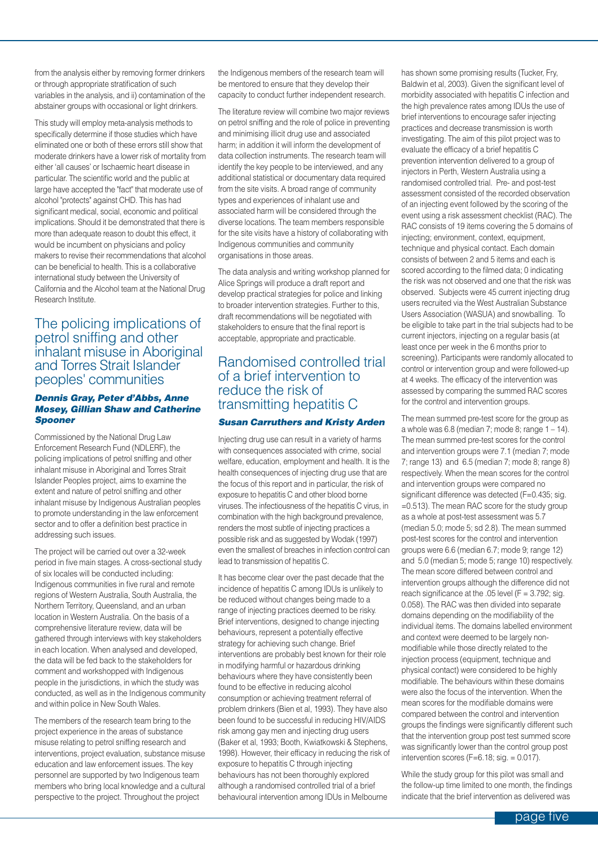from the analysis either by removing former drinkers or through appropriate stratification of such variables in the analysis, and ii) contamination of the abstainer groups with occasional or light drinkers.

This study will employ meta-analysis methods to specifically determine if those studies which have eliminated one or both of these errors still show that moderate drinkers have a lower risk of mortality from either 'all causes' or Ischaemic heart disease in particular. The scientific world and the public at large have accepted the "fact" that moderate use of alcohol "protects" against CHD. This has had significant medical, social, economic and political implications. Should it be demonstrated that there is more than adequate reason to doubt this effect, it would be incumbent on physicians and policy makers to revise their recommendations that alcohol can be beneficial to health. This is a collaborative international study between the University of California and the Alcohol team at the National Drug Research Institute.

### The policing implications of petrol sniffing and other inhalant misuse in Aboriginal and Torres Strait Islander peoples' communities

#### *Dennis Gray, Peter d'Abbs, Anne Mosey, Gillian Shaw and Catherine Spooner*

Commissioned by the National Drug Law Enforcement Research Fund (NDLERF), the policing implications of petrol sniffing and other inhalant misuse in Aboriginal and Torres Strait Islander Peoples project, aims to examine the extent and nature of petrol sniffing and other inhalant misuse by Indigenous Australian peoples to promote understanding in the law enforcement sector and to offer a definition best practice in addressing such issues.

The project will be carried out over a 32-week period in five main stages. A cross-sectional study of six locales will be conducted including: Indigenous communities in five rural and remote regions of Western Australia, South Australia, the Northern Territory, Queensland, and an urban location in Western Australia. On the basis of a comprehensive literature review, data will be gathered through interviews with key stakeholders in each location. When analysed and developed, the data will be fed back to the stakeholders for comment and workshopped with Indigenous people in the jurisdictions, in which the study was conducted, as well as in the Indigenous community and within police in New South Wales.

The members of the research team bring to the project experience in the areas of substance misuse relating to petrol sniffing research and interventions, project evaluation, substance misuse education and law enforcement issues. The key personnel are supported by two Indigenous team members who bring local knowledge and a cultural perspective to the project. Throughout the project

the Indigenous members of the research team will be mentored to ensure that they develop their capacity to conduct further independent research.

The literature review will combine two major reviews on petrol sniffing and the role of police in preventing and minimising illicit drug use and associated harm; in addition it will inform the development of data collection instruments. The research team will identify the key people to be interviewed, and any additional statistical or documentary data required from the site visits. A broad range of community types and experiences of inhalant use and associated harm will be considered through the diverse locations. The team members responsible for the site visits have a history of collaborating with Indigenous communities and community organisations in those areas.

The data analysis and writing workshop planned for Alice Springs will produce a draft report and develop practical strategies for police and linking to broader intervention strategies. Further to this, draft recommendations will be negotiated with stakeholders to ensure that the final report is acceptable, appropriate and practicable.

### Randomised controlled trial of a brief intervention to reduce the risk of transmitting hepatitis C

#### *Susan Carruthers and Kristy Arden*

Injecting drug use can result in a variety of harms with consequences associated with crime, social welfare, education, employment and health. It is the health consequences of injecting drug use that are the focus of this report and in particular, the risk of exposure to hepatitis C and other blood borne viruses. The infectiousness of the hepatitis C virus, in combination with the high background prevalence, renders the most subtle of injecting practices a possible risk and as suggested by Wodak (1997) even the smallest of breaches in infection control can lead to transmission of hepatitis C.

It has become clear over the past decade that the incidence of hepatitis C among IDUs is unlikely to be reduced without changes being made to a range of injecting practices deemed to be risky. Brief interventions, designed to change injecting behaviours, represent a potentially effective strategy for achieving such change. Brief interventions are probably best known for their role in modifying harmful or hazardous drinking behaviours where they have consistently been found to be effective in reducing alcohol consumption or achieving treatment referral of problem drinkers (Bien et al, 1993). They have also been found to be successful in reducing HIV/AIDS risk among gay men and injecting drug users (Baker et al, 1993; Booth, Kwiatkowski & Stephens, 1998). However, their efficacy in reducing the risk of exposure to hepatitis C through injecting behaviours has not been thoroughly explored although a randomised controlled trial of a brief behavioural intervention among IDUs in Melbourne

has shown some promising results (Tucker, Fry, Baldwin et al, 2003). Given the significant level of morbidity associated with hepatitis C infection and the high prevalence rates among IDUs the use of brief interventions to encourage safer injecting practices and decrease transmission is worth investigating. The aim of this pilot project was to evaluate the efficacy of a brief hepatitis C prevention intervention delivered to a group of injectors in Perth, Western Australia using a randomised controlled trial. Pre- and post-test assessment consisted of the recorded observation of an injecting event followed by the scoring of the event using a risk assessment checklist (RAC). The RAC consists of 19 items covering the 5 domains of injecting; environment, context, equipment, technique and physical contact. Each domain consists of between 2 and 5 items and each is scored according to the filmed data; 0 indicating the risk was not observed and one that the risk was observed. Subjects were 45 current injecting drug users recruited via the West Australian Substance Users Association (WASUA) and snowballing. To be eligible to take part in the trial subjects had to be current injectors, injecting on a regular basis (at least once per week in the 6 months prior to screening). Participants were randomly allocated to control or intervention group and were followed-up at 4 weeks. The efficacy of the intervention was assessed by comparing the summed RAC scores for the control and intervention groups.

The mean summed pre-test score for the group as a whole was 6.8 (median 7; mode 8; range  $1 - 14$ ). The mean summed pre-test scores for the control and intervention groups were 7.1 (median 7; mode 7; range 13) and 6.5 (median 7; mode 8; range 8) respectively. When the mean scores for the control and intervention groups were compared no significant difference was detected (F=0.435; sig. =0.513). The mean RAC score for the study group as a whole at post-test assessment was 5.7 (median 5.0; mode 5; sd 2.8). The mean summed post-test scores for the control and intervention groups were 6.6 (median 6.7; mode 9; range 12) and 5.0 (median 5; mode 5; range 10) respectively. The mean score differed between control and intervention groups although the difference did not reach significance at the .05 level  $(F = 3.792; sig.$ 0.058). The RAC was then divided into separate domains depending on the modifiability of the individual items. The domains labelled environment and context were deemed to be largely nonmodifiable while those directly related to the injection process (equipment, technique and physical contact) were considered to be highly modifiable. The behaviours within these domains were also the focus of the intervention. When the mean scores for the modifiable domains were compared between the control and intervention groups the findings were significantly different such that the intervention group post test summed score was significantly lower than the control group post intervention scores ( $F=6.18$ ; sig.  $= 0.017$ ).

While the study group for this pilot was small and the follow-up time limited to one month, the findings indicate that the brief intervention as delivered was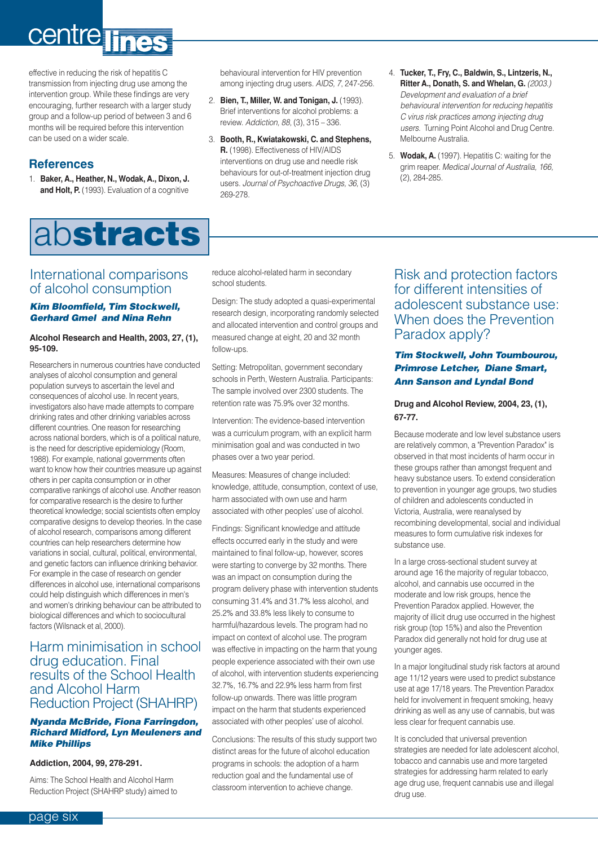# <span id="page-5-0"></span>centre lines

effective in reducing the risk of hepatitis C transmission from injecting drug use among the intervention group. While these findings are very encouraging, further research with a larger study group and a follow-up period of between 3 and 6 months will be required before this intervention can be used on a wider scale.

### **References**

1. **Baker, A., Heather, N., Wodak, A., Dixon, J. and Holt, P.** (1993). Evaluation of a cognitive

# ab**stracts**

behavioural intervention for HIV prevention among injecting drug users. *AIDS, 7*, 247-256.

- 2. **Bien, T., Miller, W. and Tonigan, J.** (1993). Brief interventions for alcohol problems: a review. *Addiction, 88,* (3), 315 – 336.
- 3. **Booth, R., Kwiatakowski, C. and Stephens, R.** (1998). Effectiveness of HIV/AIDS interventions on drug use and needle risk behaviours for out-of-treatment injection drug users. *Journal of Psychoactive Drugs, 36,* (3) 269-278.
- 4. **Tucker, T., Fry, C., Baldwin, S., Lintzeris, N., Ritter A., Donath, S. and Whelan, G.** *(2003.) Development and evaluation of a brief behavioural intervention for reducing hepatitis C virus risk practices among injecting drug users*. Turning Point Alcohol and Drug Centre. Melbourne Australia.
- 5. **Wodak, A.** (1997). Hepatitis C: waiting for the grim reaper. *Medical Journal of Australia, 166,* (2), 284-285.

### International comparisons of alcohol consumption

#### *Kim Bloomfield, Tim Stockwell, Gerhard Gmel and Nina Rehn*

#### **Alcohol Research and Health, 2003, 27, (1), 95-109.**

Researchers in numerous countries have conducted analyses of alcohol consumption and general population surveys to ascertain the level and consequences of alcohol use. In recent years, investigators also have made attempts to compare drinking rates and other drinking variables across different countries. One reason for researching across national borders, which is of a political nature is the need for descriptive epidemiology (Room, 1988). For example, national governments often want to know how their countries measure up against others in per capita consumption or in other comparative rankings of alcohol use. Another reason for comparative research is the desire to further theoretical knowledge; social scientists often employ comparative designs to develop theories. In the case of alcohol research, comparisons among different countries can help researchers determine how variations in social, cultural, political, environmental, and genetic factors can influence drinking behavior. For example in the case of research on gender differences in alcohol use, international comparisons could help distinguish which differences in men's and women's drinking behaviour can be attributed to biological differences and which to sociocultural factors (Wilsnack et al, 2000).

#### Harm minimisation in school drug education. Final results of the School Health and Alcohol Harm Reduction Project (SHAHRP)

#### *Nyanda McBride, Fiona Farringdon, Richard Midford, Lyn Meuleners and Mike Phillips*

#### **Addiction, 2004, 99, 278-291.**

Aims: The School Health and Alcohol Harm Reduction Project (SHAHRP study) aimed to reduce alcohol-related harm in secondary school students.

Design: The study adopted a quasi-experimental research design, incorporating randomly selected and allocated intervention and control groups and measured change at eight, 20 and 32 month follow-ups.

Setting: Metropolitan, government secondary schools in Perth, Western Australia. Participants: The sample involved over 2300 students. The retention rate was 75.9% over 32 months.

Intervention: The evidence-based intervention was a curriculum program, with an explicit harm minimisation goal and was conducted in two phases over a two year period.

Measures: Measures of change included: knowledge, attitude, consumption, context of use, harm associated with own use and harm associated with other peoples' use of alcohol.

Findings: Significant knowledge and attitude effects occurred early in the study and were maintained to final follow-up, however, scores were starting to converge by 32 months. There was an impact on consumption during the program delivery phase with intervention students consuming 31.4% and 31.7% less alcohol, and 25.2% and 33.8% less likely to consume to harmful/hazardous levels. The program had no impact on context of alcohol use. The program was effective in impacting on the harm that young people experience associated with their own use of alcohol, with intervention students experiencing 32.7%, 16.7% and 22.9% less harm from first follow-up onwards. There was little program impact on the harm that students experienced associated with other peoples' use of alcohol.

Conclusions: The results of this study support two distinct areas for the future of alcohol education programs in schools: the adoption of a harm reduction goal and the fundamental use of classroom intervention to achieve change.

### Risk and protection factors for different intensities of adolescent substance use: When does the Prevention Paradox apply?

#### *Tim Stockwell, John Toumbourou, Primrose Letcher, Diane Smart, Ann Sanson and Lyndal Bond*

#### **Drug and Alcohol Review, 2004, 23, (1), 67-77.**

Because moderate and low level substance users are relatively common, a "Prevention Paradox" is observed in that most incidents of harm occur in these groups rather than amongst frequent and heavy substance users. To extend consideration to prevention in younger age groups, two studies of children and adolescents conducted in Victoria, Australia, were reanalysed by recombining developmental, social and individual measures to form cumulative risk indexes for substance use.

In a large cross-sectional student survey at around age 16 the majority of regular tobacco, alcohol, and cannabis use occurred in the moderate and low risk groups, hence the Prevention Paradox applied. However, the majority of illicit drug use occurred in the highest risk group (top 15%) and also the Prevention Paradox did generally not hold for drug use at younger ages.

In a major longitudinal study risk factors at around age 11/12 years were used to predict substance use at age 17/18 years. The Prevention Paradox held for involvement in frequent smoking, heavy drinking as well as any use of cannabis, but was less clear for frequent cannabis use.

It is concluded that universal prevention strategies are needed for late adolescent alcohol, tobacco and cannabis use and more targeted strategies for addressing harm related to early age drug use, frequent cannabis use and illegal drug use.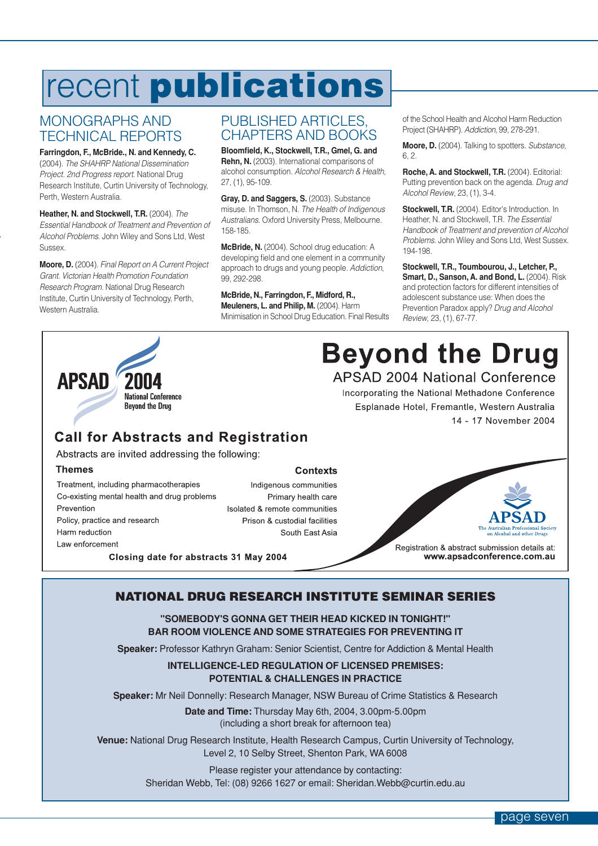# <span id="page-6-0"></span>recent **publications**

### MONOGRAPHS AND TECHNICAL REPORTS

**Farringdon, F., McBride., N. and Kennedy, C.** (2004). *The SHAHRP National Dissemination Project. 2nd Progress report*. National Drug Research Institute, Curtin University of Technology, Perth, Western Australia.

**Heather, N. and Stockwell, T.R.** (2004). *The Essential Handbook of Treatment and Prevention of Alcohol Problems*. John Wiley and Sons Ltd, West Sussex.

**Moore, D.** (2004). *Final Report on A Current Project Grant. Victorian Health Promotion Foundation Research Program*. National Drug Research Institute, Curtin University of Technology, Perth, Western Australia.

### PUBLISHED ARTICLES, CHAPTERS AND BOOKS

**Bloomfield, K., Stockwell, T.R., Gmel, G. and Rehn, N.** (2003). International comparisons of alcohol consumption. *Alcohol Research & Health*, 27, (1), 95-109.

**Gray, D. and Saggers, S.** (2003). Substance misuse. In Thomson, N. *The Health of Indigenous Australians*. Oxford University Press, Melbourne. 158-185.

**McBride, N.** (2004). School drug education: A developing field and one element in a community approach to drugs and young people. *Addiction*, 99, 292-298.

### **McBride, N., Farringdon, F., Midford, R.,**

**Meuleners, L. and Philip, M.** (2004). Harm Minimisation in School Drug Education. Final Results of the School Health and Alcohol Harm Reduction Project (SHAHRP). *Addiction*, 99, 278-291.

**Moore, D.** (2004). Talking to spotters. *Substance*, 6, 2.

**Roche, A. and Stockwell, T.R.** (2004). Editorial: Putting prevention back on the agenda. *Drug and Alcohol Review*, 23, (1), 3-4.

**Stockwell, T.R.** (2004). Editor's Introduction. In Heather, N. and Stockwell, T.R. *The Essential Handbook of Treatment and prevention of Alcohol Problems*. John Wiley and Sons Ltd, West Sussex. 194-198.

**Stockwell, T.R., Toumbourou, J., Letcher, P., Smart, D., Sanson, A. and Bond, L.** (2004). Risk and protection factors for different intensities of adolescent substance use: When does the Prevention Paradox apply? *Drug and Alcohol Review*, 23, (1), 67-77.



**Beyond the Drug APSAD 2004 National Conference** 

Incorporating the National Methadone Conference Esplanade Hotel, Fremantle, Western Australia 14 - 17 November 2004

## **Call for Abstracts and Registration**

Abstracts are invited addressing the following:

#### **Themes**

Treatment, including pharmacotherapies Co-existing mental health and drug problems Prevention Policy, practice and research Harm reduction Law enforcement

Indigenous communities Primary health care Isolated & remote communities Prison & custodial facilities South East Asia



Registration & abstract submission details at: www.apsadconference.com.au

Closing date for abstracts 31 May 2004

### **NATIONAL DRUG RESEARCH INSTITUTE SEMINAR SERIES**

**Contexts** 

**"SOMEBODY'S GONNA GET THEIR HEAD KICKED IN TONIGHT!" BAR ROOM VIOLENCE AND SOME STRATEGIES FOR PREVENTING IT**

**Speaker:** Professor Kathryn Graham: Senior Scientist, Centre for Addiction & Mental Health

#### **INTELLIGENCE-LED REGULATION OF LICENSED PREMISES: POTENTIAL & CHALLENGES IN PRACTICE**

**Speaker:** Mr Neil Donnelly: Research Manager, NSW Bureau of Crime Statistics & Research

**Date and Time:** Thursday May 6th, 2004, 3.00pm-5.00pm (including a short break for afternoon tea)

**Venue:** National Drug Research Institute, Health Research Campus, Curtin University of Technology, Level 2, 10 Selby Street, Shenton Park, WA 6008

> Please register your attendance by contacting: Sheridan Webb, Tel: (08) 9266 1627 or email: Sheridan.Webb@curtin.edu.au